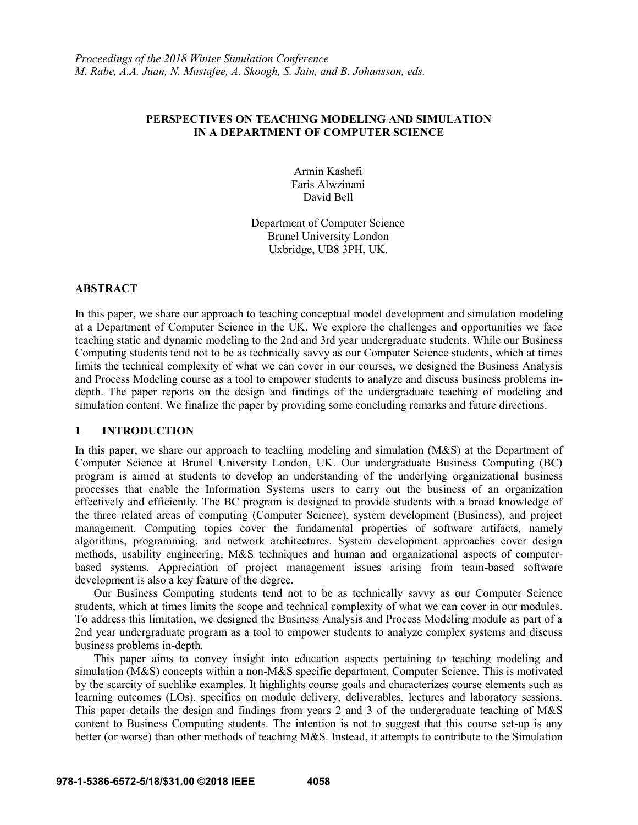## **PERSPECTIVES ON TEACHING MODELING AND SIMULATION IN A DEPARTMENT OF COMPUTER SCIENCE**

Armin Kashefi Faris Alwzinani David Bell

Department of Computer Science Brunel University London Uxbridge, UB8 3PH, UK.

### **ABSTRACT**

In this paper, we share our approach to teaching conceptual model development and simulation modeling at a Department of Computer Science in the UK. We explore the challenges and opportunities we face teaching static and dynamic modeling to the 2nd and 3rd year undergraduate students. While our Business Computing students tend not to be as technically savvy as our Computer Science students, which at times limits the technical complexity of what we can cover in our courses, we designed the Business Analysis and Process Modeling course as a tool to empower students to analyze and discuss business problems indepth. The paper reports on the design and findings of the undergraduate teaching of modeling and simulation content. We finalize the paper by providing some concluding remarks and future directions.

# **1 INTRODUCTION**

In this paper, we share our approach to teaching modeling and simulation (M&S) at the Department of Computer Science at Brunel University London, UK. Our undergraduate Business Computing (BC) program is aimed at students to develop an understanding of the underlying organizational business processes that enable the Information Systems users to carry out the business of an organization effectively and efficiently. The BC program is designed to provide students with a broad knowledge of the three related areas of computing (Computer Science), system development (Business), and project management. Computing topics cover the fundamental properties of software artifacts, namely algorithms, programming, and network architectures. System development approaches cover design methods, usability engineering, M&S techniques and human and organizational aspects of computerbased systems. Appreciation of project management issues arising from team-based software development is also a key feature of the degree.

Our Business Computing students tend not to be as technically savvy as our Computer Science students, which at times limits the scope and technical complexity of what we can cover in our modules. To address this limitation, we designed the Business Analysis and Process Modeling module as part of a 2nd year undergraduate program as a tool to empower students to analyze complex systems and discuss business problems in-depth.

This paper aims to convey insight into education aspects pertaining to teaching modeling and simulation (M&S) concepts within a non-M&S specific department, Computer Science. This is motivated by the scarcity of suchlike examples. It highlights course goals and characterizes course elements such as learning outcomes (LOs), specifics on module delivery, deliverables, lectures and laboratory sessions. This paper details the design and findings from years 2 and 3 of the undergraduate teaching of M&S content to Business Computing students. The intention is not to suggest that this course set-up is any better (or worse) than other methods of teaching M&S. Instead, it attempts to contribute to the Simulation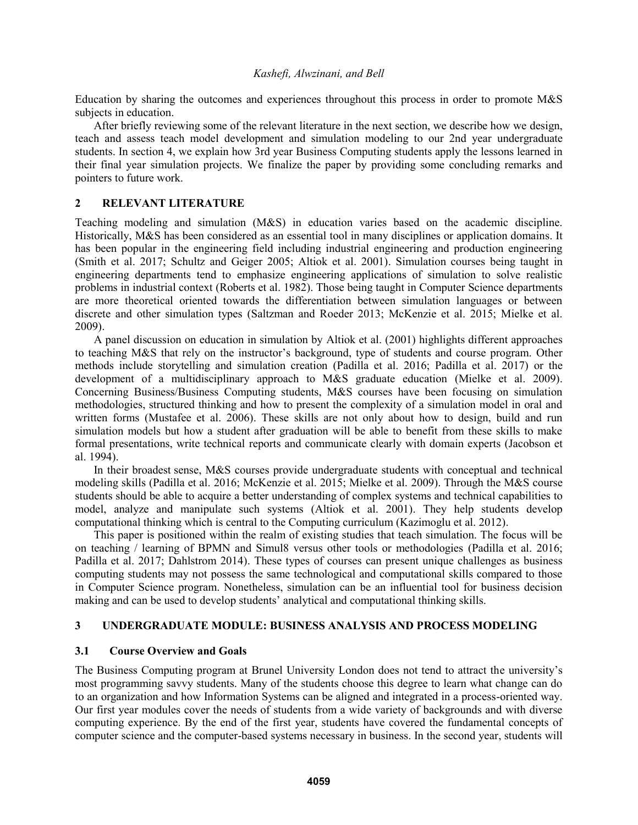Education by sharing the outcomes and experiences throughout this process in order to promote M&S subjects in education.

After briefly reviewing some of the relevant literature in the next section, we describe how we design, teach and assess teach model development and simulation modeling to our 2nd year undergraduate students. In section 4, we explain how 3rd year Business Computing students apply the lessons learned in their final year simulation projects. We finalize the paper by providing some concluding remarks and pointers to future work.

# **2 RELEVANT LITERATURE**

Teaching modeling and simulation (M&S) in education varies based on the academic discipline. Historically, M&S has been considered as an essential tool in many disciplines or application domains. It has been popular in the engineering field including industrial engineering and production engineering (Smith et al. 2017; Schultz and Geiger 2005; Altiok et al. 2001). Simulation courses being taught in engineering departments tend to emphasize engineering applications of simulation to solve realistic problems in industrial context (Roberts et al. 1982). Those being taught in Computer Science departments are more theoretical oriented towards the differentiation between simulation languages or between discrete and other simulation types (Saltzman and Roeder 2013; McKenzie et al. 2015; Mielke et al. 2009).

A panel discussion on education in simulation by Altiok et al. (2001) highlights different approaches to teaching M&S that rely on the instructor's background, type of students and course program. Other methods include storytelling and simulation creation (Padilla et al. 2016; Padilla et al. 2017) or the development of a multidisciplinary approach to M&S graduate education (Mielke et al. 2009). Concerning Business/Business Computing students, M&S courses have been focusing on simulation methodologies, structured thinking and how to present the complexity of a simulation model in oral and written forms (Mustafee et al. 2006). These skills are not only about how to design, build and run simulation models but how a student after graduation will be able to benefit from these skills to make formal presentations, write technical reports and communicate clearly with domain experts (Jacobson et al. 1994).

In their broadest sense, M&S courses provide undergraduate students with conceptual and technical modeling skills (Padilla et al. 2016; McKenzie et al. 2015; Mielke et al. 2009). Through the M&S course students should be able to acquire a better understanding of complex systems and technical capabilities to model, analyze and manipulate such systems (Altiok et al. 2001). They help students develop computational thinking which is central to the Computing curriculum (Kazimoglu et al. 2012).

This paper is positioned within the realm of existing studies that teach simulation. The focus will be on teaching / learning of BPMN and Simul8 versus other tools or methodologies (Padilla et al. 2016; Padilla et al. 2017; Dahlstrom 2014). These types of courses can present unique challenges as business computing students may not possess the same technological and computational skills compared to those in Computer Science program. Nonetheless, simulation can be an influential tool for business decision making and can be used to develop students' analytical and computational thinking skills.

### **3 UNDERGRADUATE MODULE: BUSINESS ANALYSIS AND PROCESS MODELING**

# **3.1 Course Overview and Goals**

The Business Computing program at Brunel University London does not tend to attract the university's most programming savvy students. Many of the students choose this degree to learn what change can do to an organization and how Information Systems can be aligned and integrated in a process-oriented way. Our first year modules cover the needs of students from a wide variety of backgrounds and with diverse computing experience. By the end of the first year, students have covered the fundamental concepts of computer science and the computer-based systems necessary in business. In the second year, students will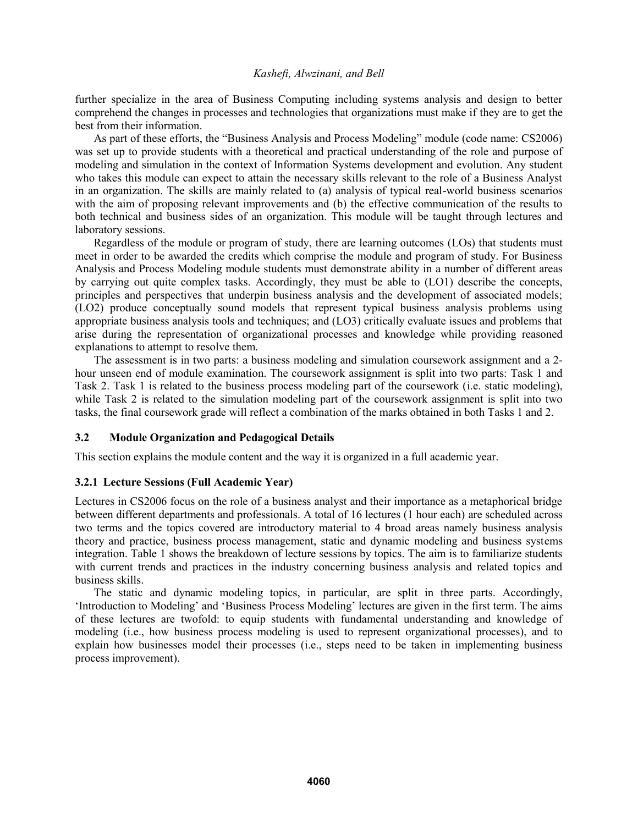further specialize in the area of Business Computing including systems analysis and design to better comprehend the changes in processes and technologies that organizations must make if they are to get the best from their information.

As part of these efforts, the "Business Analysis and Process Modeling" module (code name: CS2006) was set up to provide students with a theoretical and practical understanding of the role and purpose of modeling and simulation in the context of Information Systems development and evolution. Any student who takes this module can expect to attain the necessary skills relevant to the role of a Business Analyst in an organization. The skills are mainly related to (a) analysis of typical real-world business scenarios with the aim of proposing relevant improvements and (b) the effective communication of the results to both technical and business sides of an organization. This module will be taught through lectures and laboratory sessions.

Regardless of the module or program of study, there are learning outcomes (LOs) that students must meet in order to be awarded the credits which comprise the module and program of study. For Business Analysis and Process Modeling module students must demonstrate ability in a number of different areas by carrying out quite complex tasks. Accordingly, they must be able to (LO1) describe the concepts, principles and perspectives that underpin business analysis and the development of associated models; (LO2) produce conceptually sound models that represent typical business analysis problems using appropriate business analysis tools and techniques; and (LO3) critically evaluate issues and problems that arise during the representation of organizational processes and knowledge while providing reasoned explanations to attempt to resolve them.

The assessment is in two parts: a business modeling and simulation coursework assignment and a 2 hour unseen end of module examination. The coursework assignment is split into two parts: Task 1 and Task 2. Task 1 is related to the business process modeling part of the coursework (i.e. static modeling), while Task 2 is related to the simulation modeling part of the coursework assignment is split into two tasks, the final coursework grade will reflect a combination of the marks obtained in both Tasks 1 and 2.

### **3.2 Module Organization and Pedagogical Details**

This section explains the module content and the way it is organized in a full academic year.

## **3.2.1 Lecture Sessions (Full Academic Year)**

Lectures in CS2006 focus on the role of a business analyst and their importance as a metaphorical bridge between different departments and professionals. A total of 16 lectures (1 hour each) are scheduled across two terms and the topics covered are introductory material to 4 broad areas namely business analysis theory and practice, business process management, static and dynamic modeling and business systems integration. Table 1 shows the breakdown of lecture sessions by topics. The aim is to familiarize students with current trends and practices in the industry concerning business analysis and related topics and business skills.

The static and dynamic modeling topics, in particular, are split in three parts. Accordingly, 'Introduction to Modeling' and 'Business Process Modeling' lectures are given in the first term. The aims of these lectures are twofold: to equip students with fundamental understanding and knowledge of modeling (i.e., how business process modeling is used to represent organizational processes), and to explain how businesses model their processes (i.e., steps need to be taken in implementing business process improvement).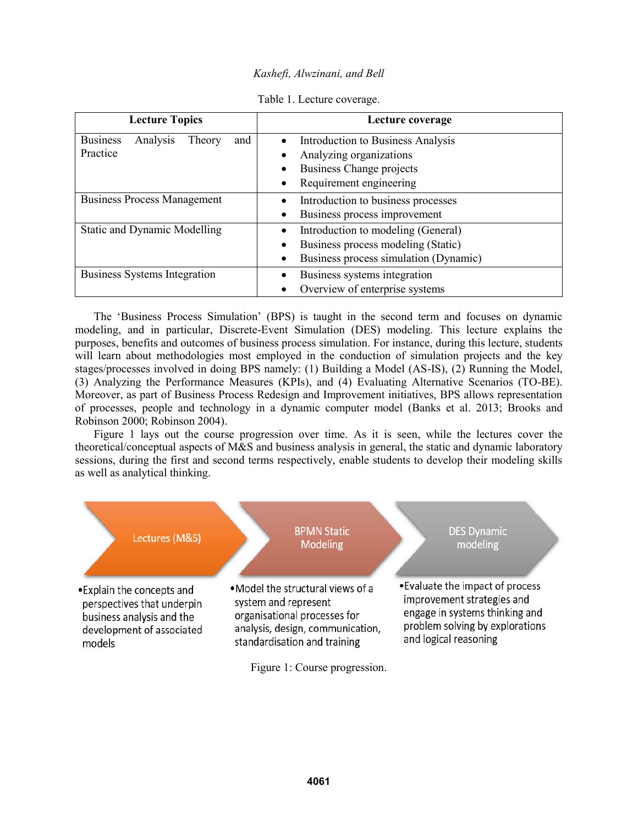| <b>Lecture Topics</b>                                    | Lecture coverage                                                                                                               |
|----------------------------------------------------------|--------------------------------------------------------------------------------------------------------------------------------|
| <b>Business</b><br>Analysis<br>and<br>Theory<br>Practice | Introduction to Business Analysis<br>Analyzing organizations<br><b>Business Change projects</b><br>Requirement engineering     |
| <b>Business Process Management</b>                       | Introduction to business processes<br>Business process improvement<br>$\bullet$                                                |
| <b>Static and Dynamic Modelling</b>                      | Introduction to modeling (General)<br>Business process modeling (Static)<br>$\bullet$<br>Business process simulation (Dynamic) |
| <b>Business Systems Integration</b>                      | Business systems integration<br>Overview of enterprise systems                                                                 |

Table 1. Lecture coverage.

The 'Business Process Simulation' (BPS) is taught in the second term and focuses on dynamic modeling, and in particular, Discrete-Event Simulation (DES) modeling. This lecture explains the purposes, benefits and outcomes of business process simulation. For instance, during this lecture, students will learn about methodologies most employed in the conduction of simulation projects and the key stages/processes involved in doing BPS namely: (1) Building a Model (AS-IS), (2) Running the Model, (3) Analyzing the Performance Measures (KPIs), and (4) Evaluating Alternative Scenarios (TO-BE). Moreover, as part of Business Process Redesign and Improvement initiatives, BPS allows representation of processes, people and technology in a dynamic computer model (Banks et al. 2013; Brooks and Robinson 2000; Robinson 2004).

Figure 1 lays out the course progression over time. As it is seen, while the lectures cover the theoretical/conceptual aspects of M&S and business analysis in general, the static and dynamic laboratory sessions, during the first and second terms respectively, enable students to develop their modeling skills as well as analytical thinking.

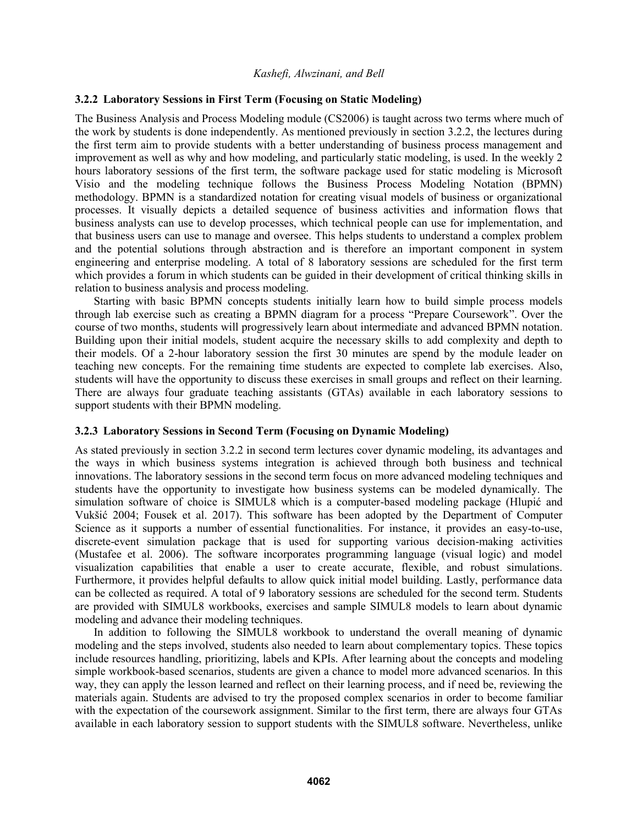### **3.2.2 Laboratory Sessions in First Term (Focusing on Static Modeling)**

The Business Analysis and Process Modeling module (CS2006) is taught across two terms where much of the work by students is done independently. As mentioned previously in section 3.2.2, the lectures during the first term aim to provide students with a better understanding of business process management and improvement as well as why and how modeling, and particularly static modeling, is used. In the weekly 2 hours laboratory sessions of the first term, the software package used for static modeling is Microsoft Visio and the modeling technique follows the Business Process Modeling Notation (BPMN) methodology. BPMN is a standardized notation for creating visual models of business or organizational processes. It visually depicts a detailed sequence of business activities and information flows that business analysts can use to develop processes, which technical people can use for implementation, and that business users can use to manage and oversee. This helps students to understand a complex problem and the potential solutions through abstraction and is therefore an important component in system engineering and enterprise modeling. A total of 8 laboratory sessions are scheduled for the first term which provides a forum in which students can be guided in their development of critical thinking skills in relation to business analysis and process modeling.

Starting with basic BPMN concepts students initially learn how to build simple process models through lab exercise such as creating a BPMN diagram for a process "Prepare Coursework". Over the course of two months, students will progressively learn about intermediate and advanced BPMN notation. Building upon their initial models, student acquire the necessary skills to add complexity and depth to their models. Of a 2-hour laboratory session the first 30 minutes are spend by the module leader on teaching new concepts. For the remaining time students are expected to complete lab exercises. Also, students will have the opportunity to discuss these exercises in small groups and reflect on their learning. There are always four graduate teaching assistants (GTAs) available in each laboratory sessions to support students with their BPMN modeling.

# **3.2.3 Laboratory Sessions in Second Term (Focusing on Dynamic Modeling)**

As stated previously in section 3.2.2 in second term lectures cover dynamic modeling, its advantages and the ways in which business systems integration is achieved through both business and technical innovations. The laboratory sessions in the second term focus on more advanced modeling techniques and students have the opportunity to investigate how business systems can be modeled dynamically. The simulation software of choice is SIMUL8 which is a computer-based modeling package (Hlupić and Vukšić 2004; Fousek et al. 2017). This software has been adopted by the Department of Computer Science as it supports a number of essential functionalities. For instance, it provides an easy-to-use, discrete-event simulation package that is used for supporting various decision-making activities (Mustafee et al. 2006). The software incorporates programming language (visual logic) and model visualization capabilities that enable a user to create accurate, flexible, and robust simulations. Furthermore, it provides helpful defaults to allow quick initial model building. Lastly, performance data can be collected as required. A total of 9 laboratory sessions are scheduled for the second term. Students are provided with SIMUL8 workbooks, exercises and sample SIMUL8 models to learn about dynamic modeling and advance their modeling techniques.

In addition to following the SIMUL8 workbook to understand the overall meaning of dynamic modeling and the steps involved, students also needed to learn about complementary topics. These topics include resources handling, prioritizing, labels and KPIs. After learning about the concepts and modeling simple workbook-based scenarios, students are given a chance to model more advanced scenarios. In this way, they can apply the lesson learned and reflect on their learning process, and if need be, reviewing the materials again. Students are advised to try the proposed complex scenarios in order to become familiar with the expectation of the coursework assignment. Similar to the first term, there are always four GTAs available in each laboratory session to support students with the SIMUL8 software. Nevertheless, unlike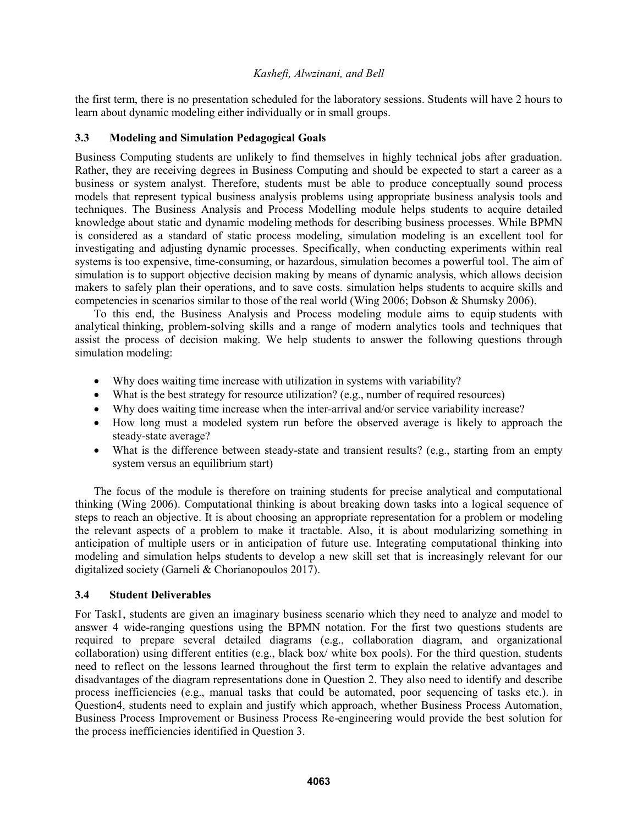the first term, there is no presentation scheduled for the laboratory sessions. Students will have 2 hours to learn about dynamic modeling either individually or in small groups.

# **3.3 Modeling and Simulation Pedagogical Goals**

Business Computing students are unlikely to find themselves in highly technical jobs after graduation. Rather, they are receiving degrees in Business Computing and should be expected to start a career as a business or system analyst. Therefore, students must be able to produce conceptually sound process models that represent typical business analysis problems using appropriate business analysis tools and techniques. The Business Analysis and Process Modelling module helps students to acquire detailed knowledge about static and dynamic modeling methods for describing business processes. While BPMN is considered as a standard of static process modeling, simulation modeling is an excellent tool for investigating and adjusting dynamic processes. Specifically, when conducting experiments within real systems is too expensive, time-consuming, or hazardous, simulation becomes a powerful tool. The aim of simulation is to support objective decision making by means of dynamic analysis, which allows decision makers to safely plan their operations, and to save costs. simulation helps students to acquire skills and competencies in scenarios similar to those of the real world (Wing 2006; Dobson & Shumsky 2006).

To this end, the Business Analysis and Process modeling module aims to equip students with analytical thinking, problem-solving skills and a range of modern analytics tools and techniques that assist the process of decision making. We help students to answer the following questions through simulation modeling:

- Why does waiting time increase with utilization in systems with variability?
- What is the best strategy for resource utilization? (e.g., number of required resources)
- Why does waiting time increase when the inter-arrival and/or service variability increase?
- How long must a modeled system run before the observed average is likely to approach the steady-state average?
- What is the difference between steady-state and transient results? (e.g., starting from an empty system versus an equilibrium start)

The focus of the module is therefore on training students for precise analytical and computational thinking (Wing 2006). Computational thinking is about breaking down tasks into a logical sequence of steps to reach an objective. It is about choosing an appropriate representation for a problem or modeling the relevant aspects of a problem to make it tractable. Also, it is about modularizing something in anticipation of multiple users or in anticipation of future use. Integrating computational thinking into modeling and simulation helps students to develop a new skill set that is increasingly relevant for our digitalized society (Garneli & Chorianopoulos 2017).

# **3.4 Student Deliverables**

For Task1, students are given an imaginary business scenario which they need to analyze and model to answer 4 wide-ranging questions using the BPMN notation. For the first two questions students are required to prepare several detailed diagrams (e.g., collaboration diagram, and organizational collaboration) using different entities (e.g., black box/ white box pools). For the third question, students need to reflect on the lessons learned throughout the first term to explain the relative advantages and disadvantages of the diagram representations done in Question 2. They also need to identify and describe process inefficiencies (e.g., manual tasks that could be automated, poor sequencing of tasks etc.). in Question4, students need to explain and justify which approach, whether Business Process Automation, Business Process Improvement or Business Process Re-engineering would provide the best solution for the process inefficiencies identified in Question 3.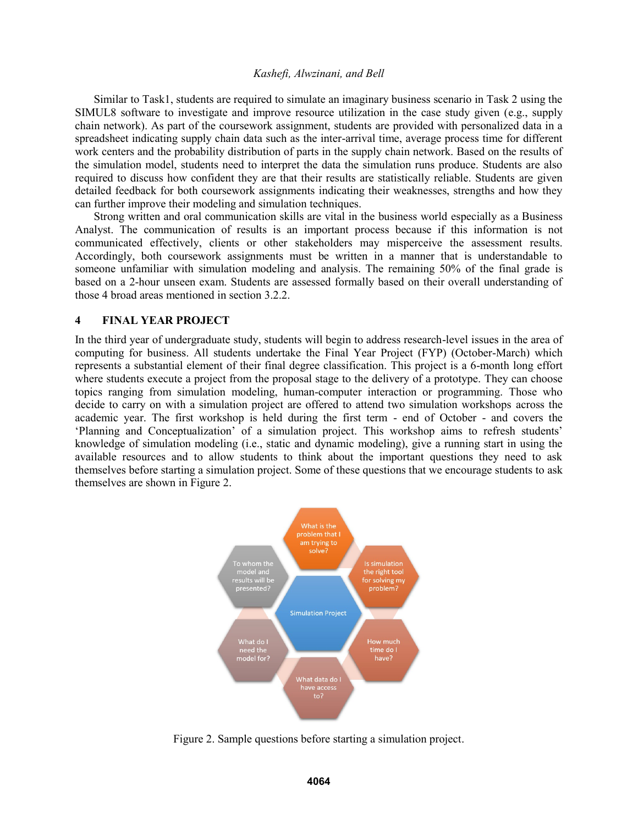Similar to Task1, students are required to simulate an imaginary business scenario in Task 2 using the SIMUL8 software to investigate and improve resource utilization in the case study given (e.g., supply chain network). As part of the coursework assignment, students are provided with personalized data in a spreadsheet indicating supply chain data such as the inter-arrival time, average process time for different work centers and the probability distribution of parts in the supply chain network. Based on the results of the simulation model, students need to interpret the data the simulation runs produce. Students are also required to discuss how confident they are that their results are statistically reliable. Students are given detailed feedback for both coursework assignments indicating their weaknesses, strengths and how they can further improve their modeling and simulation techniques.

Strong written and oral communication skills are vital in the business world especially as a Business Analyst. The communication of results is an important process because if this information is not communicated effectively, clients or other stakeholders may misperceive the assessment results. Accordingly, both coursework assignments must be written in a manner that is understandable to someone unfamiliar with simulation modeling and analysis. The remaining 50% of the final grade is based on a 2-hour unseen exam. Students are assessed formally based on their overall understanding of those 4 broad areas mentioned in section 3.2.2.

# **4 FINAL YEAR PROJECT**

In the third year of undergraduate study, students will begin to address research-level issues in the area of computing for business. All students undertake the Final Year Project (FYP) (October-March) which represents a substantial element of their final degree classification. This project is a 6-month long effort where students execute a project from the proposal stage to the delivery of a prototype. They can choose topics ranging from simulation modeling, human-computer interaction or programming. Those who decide to carry on with a simulation project are offered to attend two simulation workshops across the academic year. The first workshop is held during the first term - end of October - and covers the 'Planning and Conceptualization' of a simulation project. This workshop aims to refresh students' knowledge of simulation modeling (i.e., static and dynamic modeling), give a running start in using the available resources and to allow students to think about the important questions they need to ask themselves before starting a simulation project. Some of these questions that we encourage students to ask themselves are shown in Figure 2.



Figure 2. Sample questions before starting a simulation project.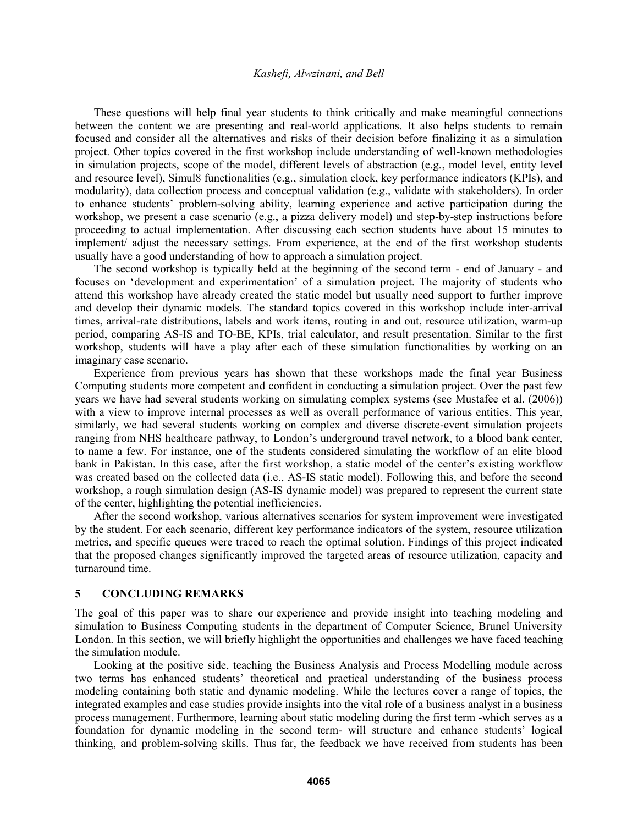These questions will help final year students to think critically and make meaningful connections between the content we are presenting and real-world applications. It also helps students to remain focused and consider all the alternatives and risks of their decision before finalizing it as a simulation project. Other topics covered in the first workshop include understanding of well-known methodologies in simulation projects, scope of the model, different levels of abstraction (e.g., model level, entity level and resource level), Simul8 functionalities (e.g., simulation clock, key performance indicators (KPIs), and modularity), data collection process and conceptual validation (e.g., validate with stakeholders). In order to enhance students' problem-solving ability, learning experience and active participation during the workshop, we present a case scenario (e.g., a pizza delivery model) and step-by-step instructions before proceeding to actual implementation. After discussing each section students have about 15 minutes to implement/ adjust the necessary settings. From experience, at the end of the first workshop students usually have a good understanding of how to approach a simulation project.

The second workshop is typically held at the beginning of the second term - end of January - and focuses on 'development and experimentation' of a simulation project. The majority of students who attend this workshop have already created the static model but usually need support to further improve and develop their dynamic models. The standard topics covered in this workshop include inter-arrival times, arrival-rate distributions, labels and work items, routing in and out, resource utilization, warm-up period, comparing AS-IS and TO-BE, KPIs, trial calculator, and result presentation. Similar to the first workshop, students will have a play after each of these simulation functionalities by working on an imaginary case scenario.

Experience from previous years has shown that these workshops made the final year Business Computing students more competent and confident in conducting a simulation project. Over the past few years we have had several students working on simulating complex systems (see Mustafee et al. (2006)) with a view to improve internal processes as well as overall performance of various entities. This year, similarly, we had several students working on complex and diverse discrete-event simulation projects ranging from NHS healthcare pathway, to London's underground travel network, to a blood bank center, to name a few. For instance, one of the students considered simulating the workflow of an elite blood bank in Pakistan. In this case, after the first workshop, a static model of the center's existing workflow was created based on the collected data (i.e., AS-IS static model). Following this, and before the second workshop, a rough simulation design (AS-IS dynamic model) was prepared to represent the current state of the center, highlighting the potential inefficiencies.

After the second workshop, various alternatives scenarios for system improvement were investigated by the student. For each scenario, different key performance indicators of the system, resource utilization metrics, and specific queues were traced to reach the optimal solution. Findings of this project indicated that the proposed changes significantly improved the targeted areas of resource utilization, capacity and turnaround time.

#### **5 CONCLUDING REMARKS**

The goal of this paper was to share our experience and provide insight into teaching modeling and simulation to Business Computing students in the department of Computer Science, Brunel University London. In this section, we will briefly highlight the opportunities and challenges we have faced teaching the simulation module.

Looking at the positive side, teaching the Business Analysis and Process Modelling module across two terms has enhanced students' theoretical and practical understanding of the business process modeling containing both static and dynamic modeling. While the lectures cover a range of topics, the integrated examples and case studies provide insights into the vital role of a business analyst in a business process management. Furthermore, learning about static modeling during the first term -which serves as a foundation for dynamic modeling in the second term- will structure and enhance students' logical thinking, and problem-solving skills. Thus far, the feedback we have received from students has been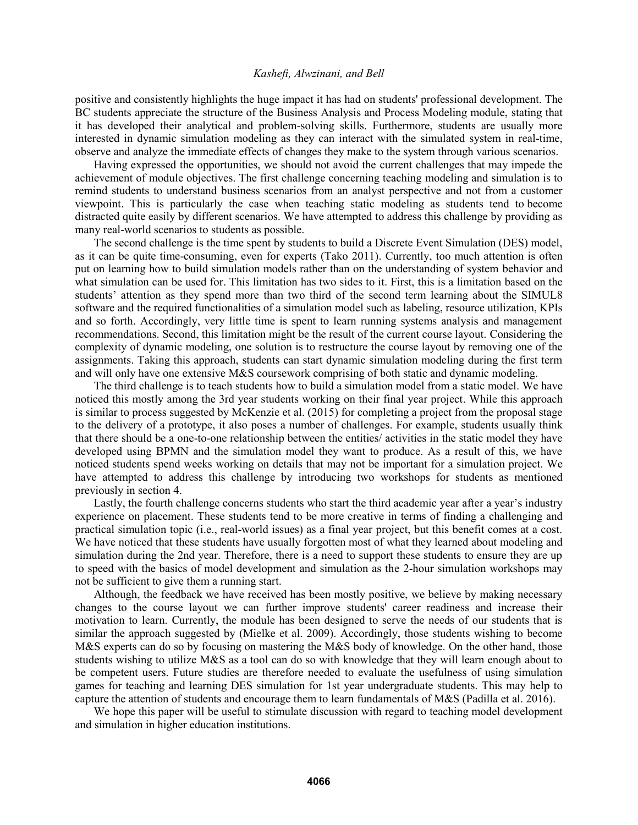positive and consistently highlights the huge impact it has had on students' professional development. The BC students appreciate the structure of the Business Analysis and Process Modeling module, stating that it has developed their analytical and problem-solving skills. Furthermore, students are usually more interested in dynamic simulation modeling as they can interact with the simulated system in real-time, observe and analyze the immediate effects of changes they make to the system through various scenarios.

Having expressed the opportunities, we should not avoid the current challenges that may impede the achievement of module objectives. The first challenge concerning teaching modeling and simulation is to remind students to understand business scenarios from an analyst perspective and not from a customer viewpoint. This is particularly the case when teaching static modeling as students tend to become distracted quite easily by different scenarios. We have attempted to address this challenge by providing as many real-world scenarios to students as possible.

The second challenge is the time spent by students to build a Discrete Event Simulation (DES) model, as it can be quite time-consuming, even for experts (Tako 2011). Currently, too much attention is often put on learning how to build simulation models rather than on the understanding of system behavior and what simulation can be used for. This limitation has two sides to it. First, this is a limitation based on the students' attention as they spend more than two third of the second term learning about the SIMUL8 software and the required functionalities of a simulation model such as labeling, resource utilization, KPIs and so forth. Accordingly, very little time is spent to learn running systems analysis and management recommendations. Second, this limitation might be the result of the current course layout. Considering the complexity of dynamic modeling, one solution is to restructure the course layout by removing one of the assignments. Taking this approach, students can start dynamic simulation modeling during the first term and will only have one extensive M&S coursework comprising of both static and dynamic modeling.

The third challenge is to teach students how to build a simulation model from a static model. We have noticed this mostly among the 3rd year students working on their final year project. While this approach is similar to process suggested by McKenzie et al. (2015) for completing a project from the proposal stage to the delivery of a prototype, it also poses a number of challenges. For example, students usually think that there should be a one-to-one relationship between the entities/ activities in the static model they have developed using BPMN and the simulation model they want to produce. As a result of this, we have noticed students spend weeks working on details that may not be important for a simulation project. We have attempted to address this challenge by introducing two workshops for students as mentioned previously in section 4.

Lastly, the fourth challenge concerns students who start the third academic year after a year's industry experience on placement. These students tend to be more creative in terms of finding a challenging and practical simulation topic (i.e., real-world issues) as a final year project, but this benefit comes at a cost. We have noticed that these students have usually forgotten most of what they learned about modeling and simulation during the 2nd year. Therefore, there is a need to support these students to ensure they are up to speed with the basics of model development and simulation as the 2-hour simulation workshops may not be sufficient to give them a running start.

Although, the feedback we have received has been mostly positive, we believe by making necessary changes to the course layout we can further improve students' career readiness and increase their motivation to learn. Currently, the module has been designed to serve the needs of our students that is similar the approach suggested by (Mielke et al. 2009). Accordingly, those students wishing to become M&S experts can do so by focusing on mastering the M&S body of knowledge. On the other hand, those students wishing to utilize M&S as a tool can do so with knowledge that they will learn enough about to be competent users. Future studies are therefore needed to evaluate the usefulness of using simulation games for teaching and learning DES simulation for 1st year undergraduate students. This may help to capture the attention of students and encourage them to learn fundamentals of M&S (Padilla et al. 2016).

We hope this paper will be useful to stimulate discussion with regard to teaching model development and simulation in higher education institutions.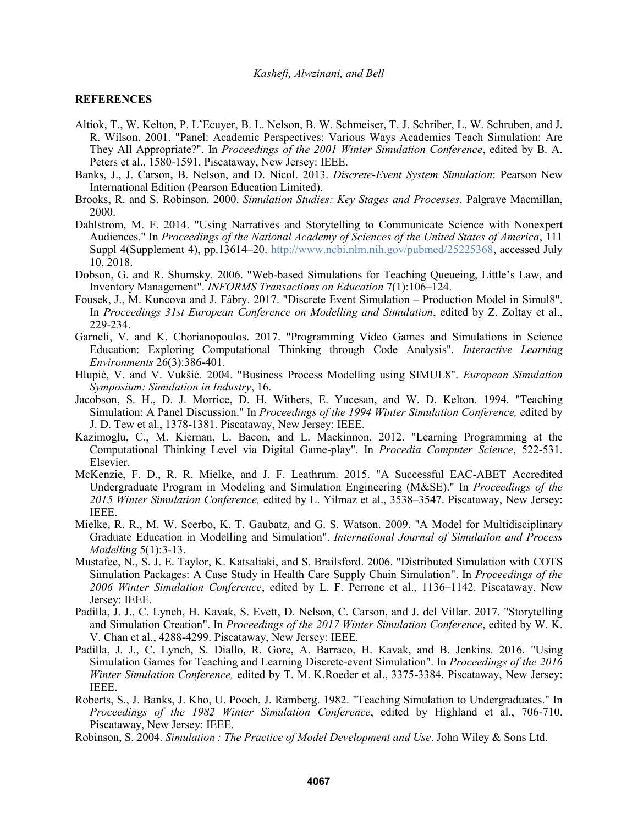#### **REFERENCES**

- Altiok, T., W. Kelton, P. L'Ecuyer, B. L. Nelson, B. W. Schmeiser, T. J. Schriber, L. W. Schruben, and J. R. Wilson. 2001. "Panel: Academic Perspectives: Various Ways Academics Teach Simulation: Are They All Appropriate?". In *Proceedings of the 2001 Winter Simulation Conference*, edited by B. A. Peters et al., 1580-1591. Piscataway, New Jersey: IEEE.
- Banks, J., J. Carson, B. Nelson, and D. Nicol. 2013. *Discrete-Event System Simulation*: Pearson New International Edition (Pearson Education Limited).
- Brooks, R. and S. Robinson. 2000. *Simulation Studies: Key Stages and Processes*. Palgrave Macmillan, 2000.
- Dahlstrom, M. F. 2014. "Using Narratives and Storytelling to Communicate Science with Nonexpert Audiences." In *Proceedings of the National Academy of Sciences of the United States of America*, 111 Suppl 4(Supplement 4), pp.13614–20. http://www.ncbi.nlm.nih.gov/pubmed/25225368, accessed July 10, 2018.
- Dobson, G. and R. Shumsky. 2006. "Web-based Simulations for Teaching Queueing, Little's Law, and Inventory Management". *INFORMS Transactions on Education* 7(1):106–124.
- Fousek, J., M. Kuncova and J. Fábry. 2017. "Discrete Event Simulation Production Model in Simul8". In *Proceedings 31st European Conference on Modelling and Simulation*, edited by Z. Zoltay et al., 229-234.
- Garneli, V. and K. Chorianopoulos. 2017. "Programming Video Games and Simulations in Science Education: Exploring Computational Thinking through Code Analysis". *Interactive Learning Environments* 26(3):386-401.
- Hlupić, V. and V. Vukšić. 2004. "Business Process Modelling using SIMUL8". *European Simulation Symposium: Simulation in Industry*, 16.
- Jacobson, S. H., D. J. Morrice, D. H. Withers, E. Yucesan, and W. D. Kelton. 1994. "Teaching Simulation: A Panel Discussion." In *Proceedings of the 1994 Winter Simulation Conference,* edited by J. D. Tew et al., 1378-1381. Piscataway, New Jersey: IEEE.
- Kazimoglu, C., M. Kiernan, L. Bacon, and L. Mackinnon. 2012. "Learning Programming at the Computational Thinking Level via Digital Game-play". In *Procedia Computer Science*, 522-531. Elsevier.
- McKenzie, F. D., R. R. Mielke, and J. F. Leathrum. 2015. "A Successful EAC-ABET Accredited Undergraduate Program in Modeling and Simulation Engineering (M&SE)." In *Proceedings of the 2015 Winter Simulation Conference,* edited by L. Yilmaz et al., 3538–3547. Piscataway, New Jersey: IEEE.
- Mielke, R. R., M. W. Scerbo, K. T. Gaubatz, and G. S. Watson. 2009. "A Model for Multidisciplinary Graduate Education in Modelling and Simulation". *International Journal of Simulation and Process Modelling* 5(1):3-13.
- Mustafee, N., S. J. E. Taylor, K. Katsaliaki, and S. Brailsford. 2006. "Distributed Simulation with COTS Simulation Packages: A Case Study in Health Care Supply Chain Simulation". In *Proceedings of the 2006 Winter Simulation Conference*, edited by L. F. Perrone et al., 1136–1142. Piscataway, New Jersey: IEEE.
- Padilla, J. J., C. Lynch, H. Kavak, S. Evett, D. Nelson, C. Carson, and J. del Villar. 2017. "Storytelling and Simulation Creation". In *Proceedings of the 2017 Winter Simulation Conference*, edited by W. K. V. Chan et al., 4288-4299. Piscataway, New Jersey: IEEE.
- Padilla, J. J., C. Lynch, S. Diallo, R. Gore, A. Barraco, H. Kavak, and B. Jenkins. 2016. "Using Simulation Games for Teaching and Learning Discrete-event Simulation". In *Proceedings of the 2016 Winter Simulation Conference,* edited by T. M. K.Roeder et al., 3375-3384. Piscataway, New Jersey: IEEE.
- Roberts, S., J. Banks, J. Kho, U. Pooch, J. Ramberg. 1982. "Teaching Simulation to Undergraduates." In *Proceedings of the 1982 Winter Simulation Conference*, edited by Highland et al., 706-710. Piscataway, New Jersey: IEEE.
- Robinson, S. 2004. *Simulation : The Practice of Model Development and Use*. John Wiley & Sons Ltd.